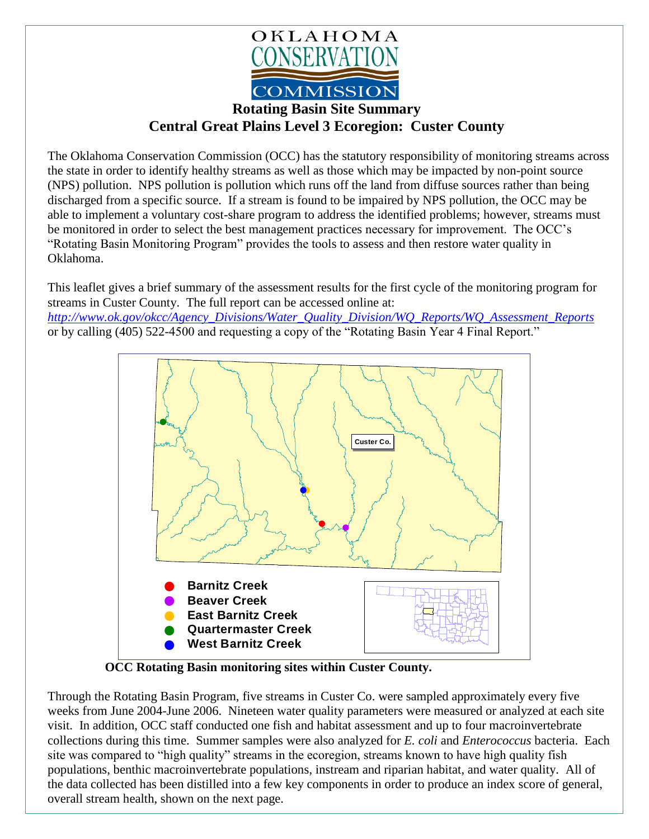

## **Rotating Basin Site Summary Central Great Plains Level 3 Ecoregion: Custer County**

The Oklahoma Conservation Commission (OCC) has the statutory responsibility of monitoring streams across the state in order to identify healthy streams as well as those which may be impacted by non-point source (NPS) pollution. NPS pollution is pollution which runs off the land from diffuse sources rather than being discharged from a specific source. If a stream is found to be impaired by NPS pollution, the OCC may be able to implement a voluntary cost-share program to address the identified problems; however, streams must be monitored in order to select the best management practices necessary for improvement. The OCC's "Rotating Basin Monitoring Program" provides the tools to assess and then restore water quality in Oklahoma.

This leaflet gives a brief summary of the assessment results for the first cycle of the monitoring program for streams in Custer County. The full report can be accessed online at: *[http://www.ok.gov/okcc/Agency\\_Divisions/Water\\_Quality\\_Division/WQ\\_Reports/WQ\\_Assessment\\_Reports](http://www.ok.gov/okcc/Agency_Divisions/Water_Quality_Division/WQ_Reports/WQ_Assessment_Reports)* or by calling (405) 522-4500 and requesting a copy of the "Rotating Basin Year 4 Final Report."



**OCC Rotating Basin monitoring sites within Custer County.**

Through the Rotating Basin Program, five streams in Custer Co. were sampled approximately every five weeks from June 2004-June 2006. Nineteen water quality parameters were measured or analyzed at each site visit. In addition, OCC staff conducted one fish and habitat assessment and up to four macroinvertebrate collections during this time. Summer samples were also analyzed for *E. coli* and *Enterococcus* bacteria. Each site was compared to "high quality" streams in the ecoregion, streams known to have high quality fish populations, benthic macroinvertebrate populations, instream and riparian habitat, and water quality. All of the data collected has been distilled into a few key components in order to produce an index score of general, overall stream health, shown on the next page.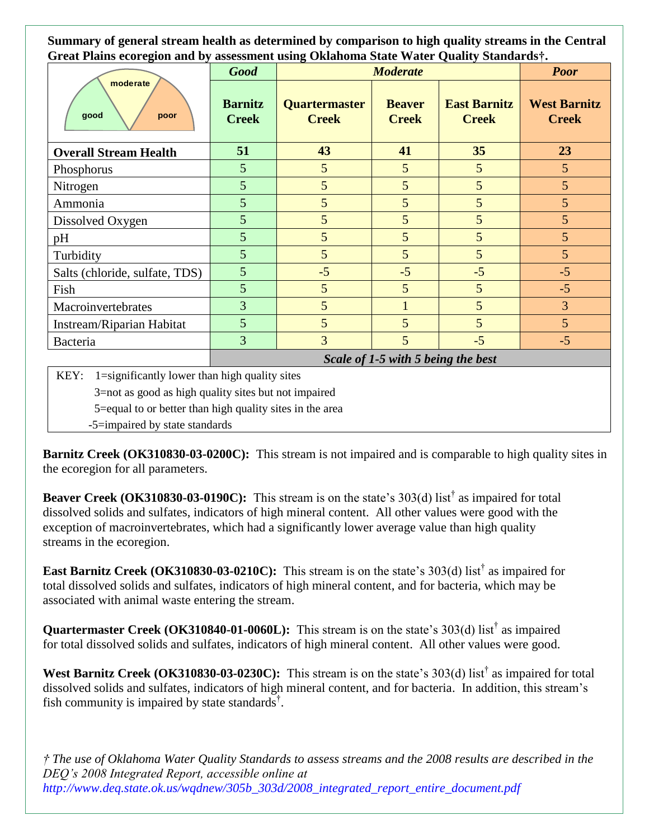**Summary of general stream health as determined by comparison to high quality streams in the Central Great Plains ecoregion and by assessment using Oklahoma State Water Quality Standards†.**

| moderate<br>good<br>poor                                   | <b>Good</b>                        | <b>Moderate</b>               |                               |                                     | <b>Poor</b>                         |
|------------------------------------------------------------|------------------------------------|-------------------------------|-------------------------------|-------------------------------------|-------------------------------------|
|                                                            | <b>Barnitz</b><br><b>Creek</b>     | Quartermaster<br><b>Creek</b> | <b>Beaver</b><br><b>Creek</b> | <b>East Barnitz</b><br><b>Creek</b> | <b>West Barnitz</b><br><b>Creek</b> |
| <b>Overall Stream Health</b>                               | 51                                 | 43                            | 41                            | 35                                  | 23                                  |
| Phosphorus                                                 | 5                                  | 5                             | 5                             | 5                                   | 5                                   |
| Nitrogen                                                   | 5                                  | 5                             | 5                             | 5                                   | 5                                   |
| Ammonia                                                    | 5                                  | 5                             | 5                             | 5                                   | 5                                   |
| Dissolved Oxygen                                           | 5                                  | 5                             | 5                             | 5                                   | 5                                   |
| pH                                                         | 5                                  | 5                             | 5                             | 5                                   | 5                                   |
| Turbidity                                                  | 5                                  | 5                             | 5                             | 5                                   | 5                                   |
| Salts (chloride, sulfate, TDS)                             | 5                                  | $-5$                          | $-5$                          | $-5$                                | $-5$                                |
| Fish                                                       | 5                                  | $5\overline{)}$               | 5                             | 5                                   | $-5$                                |
| Macroinvertebrates                                         | $\overline{3}$                     | 5                             |                               | 5                                   | 3                                   |
| Instream/Riparian Habitat                                  | 5                                  | 5                             | 5                             | 5                                   | $5\overline{)}$                     |
| Bacteria                                                   | $\overline{3}$                     | $\overline{3}$                | 5                             | $-5$                                | $-5$                                |
|                                                            | Scale of 1-5 with 5 being the best |                               |                               |                                     |                                     |
| KFY<br>$1$ $-$ cionificantly lower than high quality sites |                                    |                               |                               |                                     |                                     |

ficantly lower than high quality sites

3=not as good as high quality sites but not impaired

5=equal to or better than high quality sites in the area

-5=impaired by state standards

**Barnitz Creek (OK310830-03-0200C):** This stream is not impaired and is comparable to high quality sites in the ecoregion for all parameters.

**Beaver Creek** (OK310830-03-0190C): This stream is on the state's 303(d) list<sup>†</sup> as impaired for total dissolved solids and sulfates, indicators of high mineral content. All other values were good with the exception of macroinvertebrates, which had a significantly lower average value than high quality streams in the ecoregion.

**East Barnitz Creek (OK310830-03-0210C):** This stream is on the state's 303(d) list<sup>†</sup> as impaired for total dissolved solids and sulfates, indicators of high mineral content, and for bacteria, which may be associated with animal waste entering the stream.

Quartermaster Creek (OK310840-01-0060L): This stream is on the state's 303(d) list<sup>†</sup> as impaired for total dissolved solids and sulfates, indicators of high mineral content. All other values were good.

West Barnitz Creek (OK310830-03-0230C): This stream is on the state's 303(d) list<sup>†</sup> as impaired for total dissolved solids and sulfates, indicators of high mineral content, and for bacteria. In addition, this stream's fish community is impaired by state standards<sup>†</sup>.

*† The use of Oklahoma Water Quality Standards to assess streams and the 2008 results are described in the DEQ's 2008 Integrated Report, accessible online at http://www.deq.state.ok.us/wqdnew/305b\_303d/2008\_integrated\_report\_entire\_document.pdf*